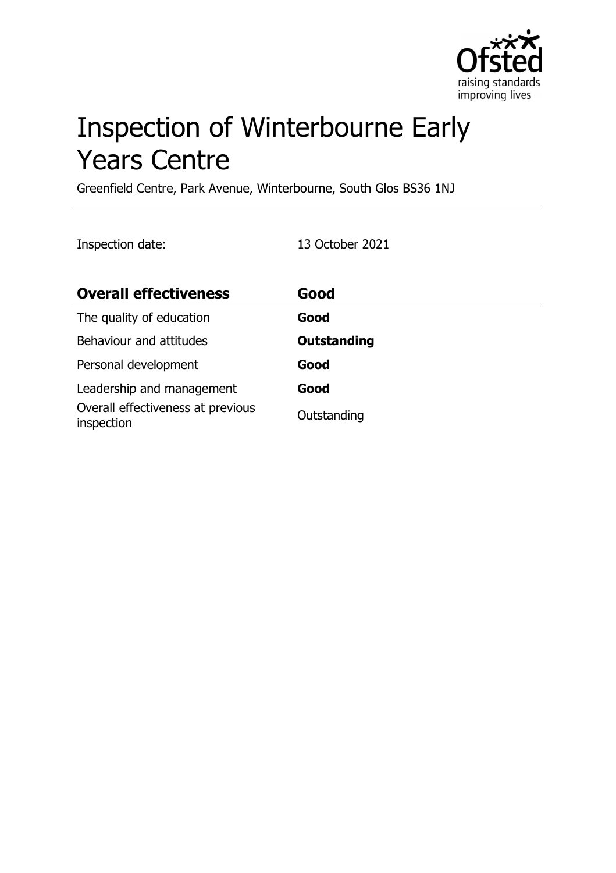

# Inspection of Winterbourne Early Years Centre

Greenfield Centre, Park Avenue, Winterbourne, South Glos BS36 1NJ

Inspection date: 13 October 2021

| <b>Overall effectiveness</b>                    | Good               |
|-------------------------------------------------|--------------------|
| The quality of education                        | Good               |
| Behaviour and attitudes                         | <b>Outstanding</b> |
| Personal development                            | Good               |
| Leadership and management                       | Good               |
| Overall effectiveness at previous<br>inspection | Outstanding        |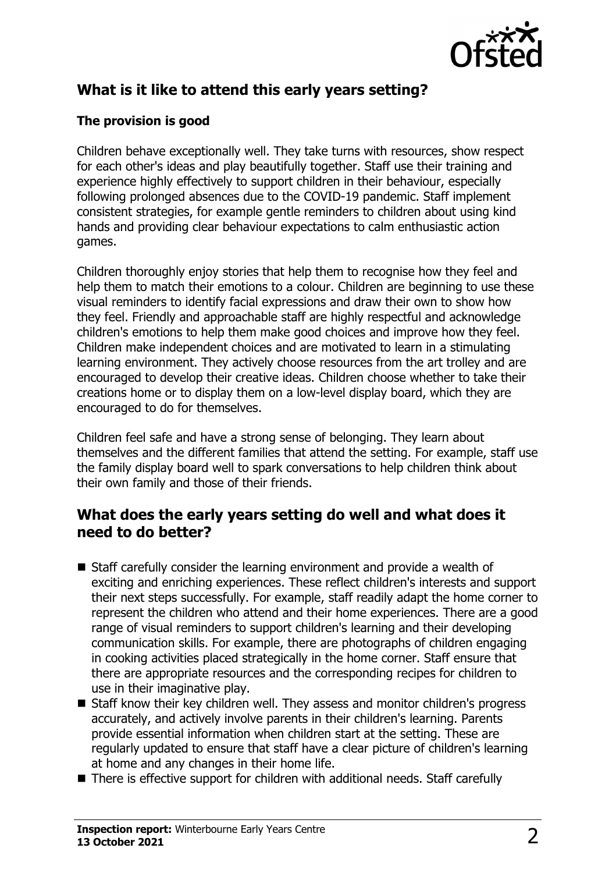

# **What is it like to attend this early years setting?**

#### **The provision is good**

Children behave exceptionally well. They take turns with resources, show respect for each other's ideas and play beautifully together. Staff use their training and experience highly effectively to support children in their behaviour, especially following prolonged absences due to the COVID-19 pandemic. Staff implement consistent strategies, for example gentle reminders to children about using kind hands and providing clear behaviour expectations to calm enthusiastic action games.

Children thoroughly enjoy stories that help them to recognise how they feel and help them to match their emotions to a colour. Children are beginning to use these visual reminders to identify facial expressions and draw their own to show how they feel. Friendly and approachable staff are highly respectful and acknowledge children's emotions to help them make good choices and improve how they feel. Children make independent choices and are motivated to learn in a stimulating learning environment. They actively choose resources from the art trolley and are encouraged to develop their creative ideas. Children choose whether to take their creations home or to display them on a low-level display board, which they are encouraged to do for themselves.

Children feel safe and have a strong sense of belonging. They learn about themselves and the different families that attend the setting. For example, staff use the family display board well to spark conversations to help children think about their own family and those of their friends.

## **What does the early years setting do well and what does it need to do better?**

- $\blacksquare$  Staff carefully consider the learning environment and provide a wealth of exciting and enriching experiences. These reflect children's interests and support their next steps successfully. For example, staff readily adapt the home corner to represent the children who attend and their home experiences. There are a good range of visual reminders to support children's learning and their developing communication skills. For example, there are photographs of children engaging in cooking activities placed strategically in the home corner. Staff ensure that there are appropriate resources and the corresponding recipes for children to use in their imaginative play.
- Staff know their key children well. They assess and monitor children's progress accurately, and actively involve parents in their children's learning. Parents provide essential information when children start at the setting. These are regularly updated to ensure that staff have a clear picture of children's learning at home and any changes in their home life.
- $\blacksquare$  There is effective support for children with additional needs. Staff carefully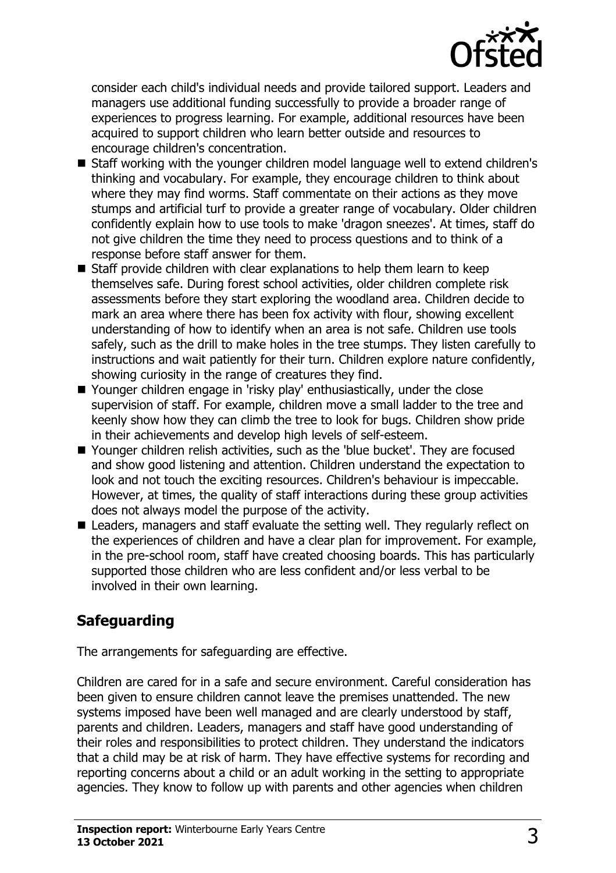

consider each child's individual needs and provide tailored support. Leaders and managers use additional funding successfully to provide a broader range of experiences to progress learning. For example, additional resources have been acquired to support children who learn better outside and resources to encourage children's concentration.

- Staff working with the younger children model language well to extend children's thinking and vocabulary. For example, they encourage children to think about where they may find worms. Staff commentate on their actions as they move stumps and artificial turf to provide a greater range of vocabulary. Older children confidently explain how to use tools to make 'dragon sneezes'. At times, staff do not give children the time they need to process questions and to think of a response before staff answer for them.
- $\blacksquare$  Staff provide children with clear explanations to help them learn to keep themselves safe. During forest school activities, older children complete risk assessments before they start exploring the woodland area. Children decide to mark an area where there has been fox activity with flour, showing excellent understanding of how to identify when an area is not safe. Children use tools safely, such as the drill to make holes in the tree stumps. They listen carefully to instructions and wait patiently for their turn. Children explore nature confidently, showing curiosity in the range of creatures they find.
- Younger children engage in 'risky play' enthusiastically, under the close supervision of staff. For example, children move a small ladder to the tree and keenly show how they can climb the tree to look for bugs. Children show pride in their achievements and develop high levels of self-esteem.
- Younger children relish activities, such as the 'blue bucket'. They are focused and show good listening and attention. Children understand the expectation to look and not touch the exciting resources. Children's behaviour is impeccable. However, at times, the quality of staff interactions during these group activities does not always model the purpose of the activity.
- Leaders, managers and staff evaluate the setting well. They regularly reflect on the experiences of children and have a clear plan for improvement. For example, in the pre-school room, staff have created choosing boards. This has particularly supported those children who are less confident and/or less verbal to be involved in their own learning.

## **Safeguarding**

The arrangements for safeguarding are effective.

Children are cared for in a safe and secure environment. Careful consideration has been given to ensure children cannot leave the premises unattended. The new systems imposed have been well managed and are clearly understood by staff, parents and children. Leaders, managers and staff have good understanding of their roles and responsibilities to protect children. They understand the indicators that a child may be at risk of harm. They have effective systems for recording and reporting concerns about a child or an adult working in the setting to appropriate agencies. They know to follow up with parents and other agencies when children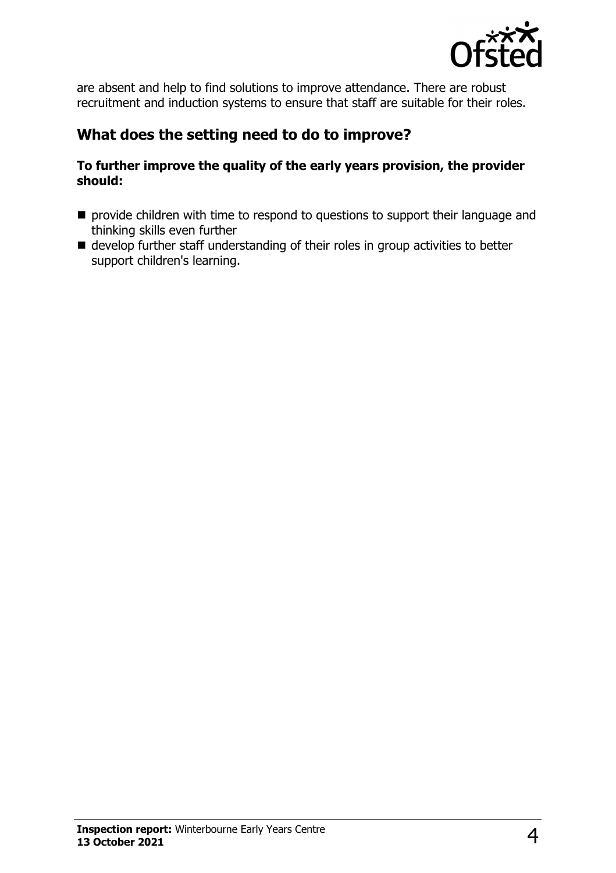

are absent and help to find solutions to improve attendance. There are robust recruitment and induction systems to ensure that staff are suitable for their roles.

#### **What does the setting need to do to improve?**

#### **To further improve the quality of the early years provision, the provider should:**

- $\blacksquare$  provide children with time to respond to questions to support their language and thinking skills even further
- $\blacksquare$  develop further staff understanding of their roles in group activities to better support children's learning.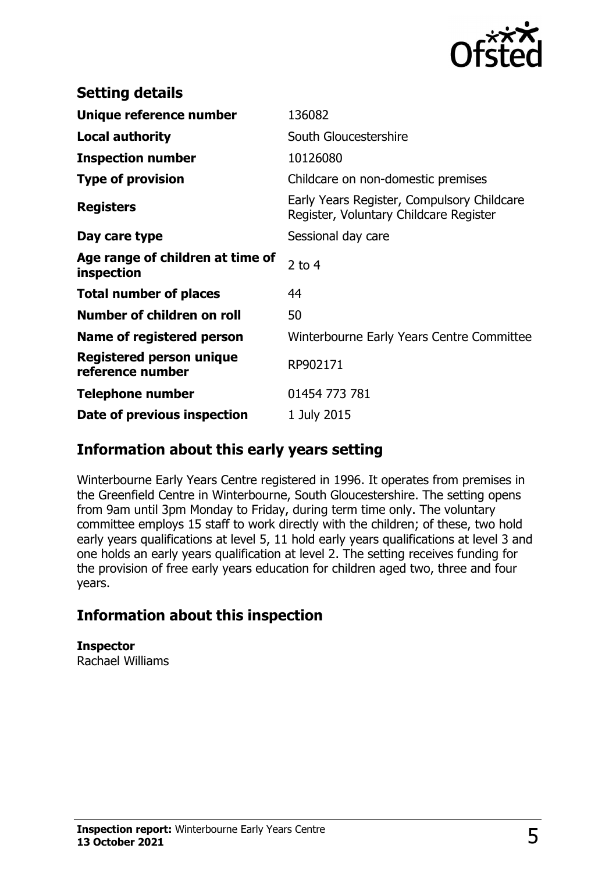

| <b>Setting details</b>                              |                                                                                      |
|-----------------------------------------------------|--------------------------------------------------------------------------------------|
| Unique reference number                             | 136082                                                                               |
| <b>Local authority</b>                              | South Gloucestershire                                                                |
| <b>Inspection number</b>                            | 10126080                                                                             |
| <b>Type of provision</b>                            | Childcare on non-domestic premises                                                   |
| <b>Registers</b>                                    | Early Years Register, Compulsory Childcare<br>Register, Voluntary Childcare Register |
| Day care type                                       | Sessional day care                                                                   |
| Age range of children at time of<br>inspection      | $2$ to 4                                                                             |
| <b>Total number of places</b>                       | 44                                                                                   |
| Number of children on roll                          | 50                                                                                   |
| Name of registered person                           | Winterbourne Early Years Centre Committee                                            |
| <b>Registered person unique</b><br>reference number | RP902171                                                                             |
| <b>Telephone number</b>                             | 01454 773 781                                                                        |
| Date of previous inspection                         | 1 July 2015                                                                          |

## **Information about this early years setting**

Winterbourne Early Years Centre registered in 1996. It operates from premises in the Greenfield Centre in Winterbourne, South Gloucestershire. The setting opens from 9am until 3pm Monday to Friday, during term time only. The voluntary committee employs 15 staff to work directly with the children; of these, two hold early years qualifications at level 5, 11 hold early years qualifications at level 3 and one holds an early years qualification at level 2. The setting receives funding for the provision of free early years education for children aged two, three and four years.

## **Information about this inspection**

**Inspector** Rachael Williams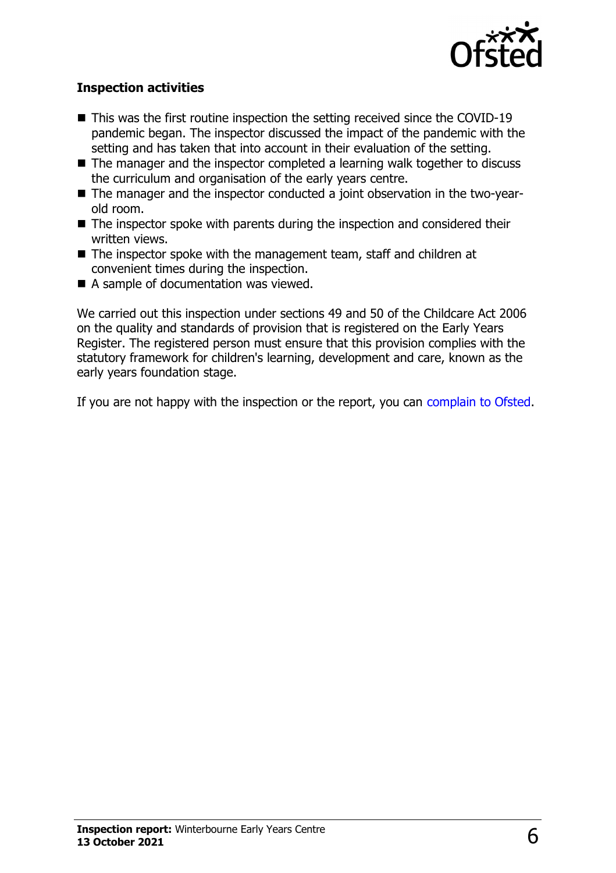

#### **Inspection activities**

- $\blacksquare$  This was the first routine inspection the setting received since the COVID-19 pandemic began. The inspector discussed the impact of the pandemic with the setting and has taken that into account in their evaluation of the setting.
- $\blacksquare$  The manager and the inspector completed a learning walk together to discuss the curriculum and organisation of the early years centre.
- The manager and the inspector conducted a joint observation in the two-yearold room.
- $\blacksquare$  The inspector spoke with parents during the inspection and considered their written views.
- $\blacksquare$  The inspector spoke with the management team, staff and children at convenient times during the inspection.
- A sample of documentation was viewed.

We carried out this inspection under sections 49 and 50 of the Childcare Act 2006 on the quality and standards of provision that is registered on the Early Years Register. The registered person must ensure that this provision complies with the statutory framework for children's learning, development and care, known as the early years foundation stage.

If you are not happy with the inspection or the report, you can [complain to Ofsted](http://www.gov.uk/complain-ofsted-report).